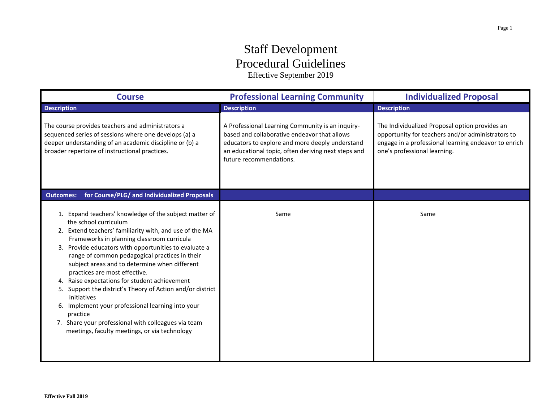## Staff Development Procedural Guidelines

Effective September 2019

| <b>Course</b>                                                                                                                                                                                                                                                                                                                                                                                                                                                                                                                                                                                                                                                                                | <b>Professional Learning Community</b>                                                                                                                                                                                                | <b>Individualized Proposal</b>                                                                                                                                                              |
|----------------------------------------------------------------------------------------------------------------------------------------------------------------------------------------------------------------------------------------------------------------------------------------------------------------------------------------------------------------------------------------------------------------------------------------------------------------------------------------------------------------------------------------------------------------------------------------------------------------------------------------------------------------------------------------------|---------------------------------------------------------------------------------------------------------------------------------------------------------------------------------------------------------------------------------------|---------------------------------------------------------------------------------------------------------------------------------------------------------------------------------------------|
| <b>Description</b>                                                                                                                                                                                                                                                                                                                                                                                                                                                                                                                                                                                                                                                                           | <b>Description</b>                                                                                                                                                                                                                    | <b>Description</b>                                                                                                                                                                          |
| The course provides teachers and administrators a<br>sequenced series of sessions where one develops (a) a<br>deeper understanding of an academic discipline or (b) a<br>broader repertoire of instructional practices.                                                                                                                                                                                                                                                                                                                                                                                                                                                                      | A Professional Learning Community is an inquiry-<br>based and collaborative endeavor that allows<br>educators to explore and more deeply understand<br>an educational topic, often deriving next steps and<br>future recommendations. | The Individualized Proposal option provides an<br>opportunity for teachers and/or administrators to<br>engage in a professional learning endeavor to enrich<br>one's professional learning. |
| for Course/PLG/ and Individualized Proposals<br><b>Outcomes:</b>                                                                                                                                                                                                                                                                                                                                                                                                                                                                                                                                                                                                                             |                                                                                                                                                                                                                                       |                                                                                                                                                                                             |
| 1. Expand teachers' knowledge of the subject matter of<br>the school curriculum<br>2. Extend teachers' familiarity with, and use of the MA<br>Frameworks in planning classroom curricula<br>3. Provide educators with opportunities to evaluate a<br>range of common pedagogical practices in their<br>subject areas and to determine when different<br>practices are most effective.<br>4. Raise expectations for student achievement<br>5. Support the district's Theory of Action and/or district<br>initiatives<br>6. Implement your professional learning into your<br>practice<br>7. Share your professional with colleagues via team<br>meetings, faculty meetings, or via technology | Same                                                                                                                                                                                                                                  | Same                                                                                                                                                                                        |

 $\overline{a}$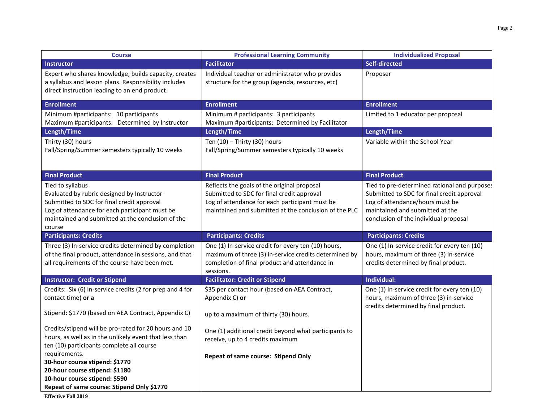| <b>Course</b>                                                                                                                                                                                                                 | <b>Professional Learning Community</b>                                                                                                                                                               | <b>Individualized Proposal</b>                                                                                                                                                                            |
|-------------------------------------------------------------------------------------------------------------------------------------------------------------------------------------------------------------------------------|------------------------------------------------------------------------------------------------------------------------------------------------------------------------------------------------------|-----------------------------------------------------------------------------------------------------------------------------------------------------------------------------------------------------------|
| <b>Instructor</b>                                                                                                                                                                                                             | <b>Facilitator</b>                                                                                                                                                                                   | Self-directed                                                                                                                                                                                             |
| Expert who shares knowledge, builds capacity, creates<br>a syllabus and lesson plans. Responsibility includes<br>direct instruction leading to an end product.                                                                | Individual teacher or administrator who provides<br>structure for the group (agenda, resources, etc)                                                                                                 | Proposer                                                                                                                                                                                                  |
| <b>Enrollment</b>                                                                                                                                                                                                             | <b>Enrollment</b>                                                                                                                                                                                    | <b>Enrollment</b>                                                                                                                                                                                         |
| Minimum #participants: 10 participants<br>Maximum #participants: Determined by Instructor                                                                                                                                     | Minimum # participants: 3 participants<br>Maximum #participants: Determined by Facilitator                                                                                                           | Limited to 1 educator per proposal                                                                                                                                                                        |
| Length/Time                                                                                                                                                                                                                   | Length/Time                                                                                                                                                                                          | Length/Time                                                                                                                                                                                               |
| Thirty (30) hours<br>Fall/Spring/Summer semesters typically 10 weeks                                                                                                                                                          | Ten $(10)$ - Thirty $(30)$ hours<br>Fall/Spring/Summer semesters typically 10 weeks                                                                                                                  | Variable within the School Year                                                                                                                                                                           |
| <b>Final Product</b>                                                                                                                                                                                                          | <b>Final Product</b>                                                                                                                                                                                 | <b>Final Product</b>                                                                                                                                                                                      |
| Tied to syllabus<br>Evaluated by rubric designed by Instructor<br>Submitted to SDC for final credit approval<br>Log of attendance for each participant must be<br>maintained and submitted at the conclusion of the<br>course | Reflects the goals of the original proposal<br>Submitted to SDC for final credit approval<br>Log of attendance for each participant must be<br>maintained and submitted at the conclusion of the PLC | Tied to pre-determined rational and purpose:<br>Submitted to SDC for final credit approval<br>Log of attendance/hours must be<br>maintained and submitted at the<br>conclusion of the individual proposal |
| <b>Participants: Credits</b>                                                                                                                                                                                                  | <b>Participants: Credits</b>                                                                                                                                                                         | <b>Participants: Credits</b>                                                                                                                                                                              |
| Three (3) In-service credits determined by completion<br>of the final product, attendance in sessions, and that<br>all requirements of the course have been met.                                                              | One (1) In-service credit for every ten (10) hours,<br>maximum of three (3) in-service credits determined by<br>completion of final product and attendance in<br>sessions.                           | One (1) In-service credit for every ten (10)<br>hours, maximum of three (3) in-service<br>credits determined by final product.                                                                            |
| <b>Instructor: Credit or Stipend</b>                                                                                                                                                                                          | <b>Facilitator: Credit or Stipend</b>                                                                                                                                                                | Individual:                                                                                                                                                                                               |
| Credits: Six (6) In-service credits (2 for prep and 4 for<br>contact time) or a                                                                                                                                               | \$35 per contact hour (based on AEA Contract,<br>Appendix C) or                                                                                                                                      | One (1) In-service credit for every ten (10)<br>hours, maximum of three (3) in-service<br>credits determined by final product.                                                                            |
| Stipend: \$1770 (based on AEA Contract, Appendix C)                                                                                                                                                                           | up to a maximum of thirty (30) hours.                                                                                                                                                                |                                                                                                                                                                                                           |
| Credits/stipend will be pro-rated for 20 hours and 10<br>hours, as well as in the unlikely event that less than<br>ten (10) participants complete all course                                                                  | One (1) additional credit beyond what participants to<br>receive, up to 4 credits maximum                                                                                                            |                                                                                                                                                                                                           |
| requirements.<br>30-hour course stipend: \$1770<br>20-hour course stipend: \$1180<br>10-hour course stipend: \$590                                                                                                            | Repeat of same course: Stipend Only                                                                                                                                                                  |                                                                                                                                                                                                           |
| Repeat of same course: Stipend Only \$1770                                                                                                                                                                                    |                                                                                                                                                                                                      |                                                                                                                                                                                                           |

**Effective Fall 2019**